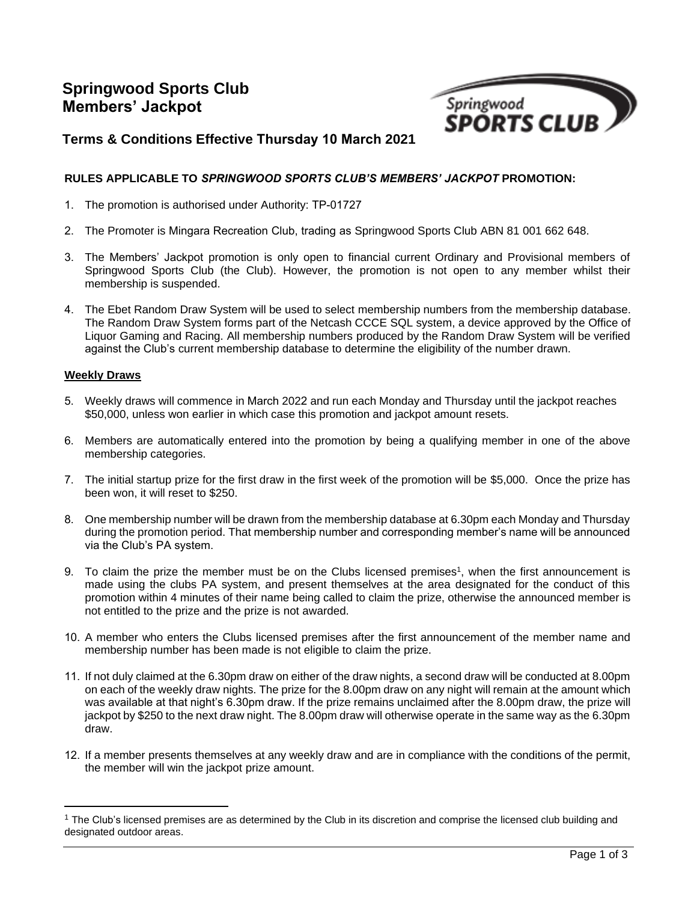

# **Terms & Conditions Effective Thursday 10 March 2021**

# **RULES APPLICABLE TO** *SPRINGWOOD SPORTS CLUB'S MEMBERS' JACKPOT* **PROMOTION:**

- 1. The promotion is authorised under Authority: TP-01727
- 2. The Promoter is Mingara Recreation Club, trading as Springwood Sports Club ABN 81 001 662 648.
- 3. The Members' Jackpot promotion is only open to financial current Ordinary and Provisional members of Springwood Sports Club (the Club). However, the promotion is not open to any member whilst their membership is suspended.
- 4. The Ebet Random Draw System will be used to select membership numbers from the membership database. The Random Draw System forms part of the Netcash CCCE SQL system, a device approved by the Office of Liquor Gaming and Racing. All membership numbers produced by the Random Draw System will be verified against the Club's current membership database to determine the eligibility of the number drawn.

### **Weekly Draws**

- 5. Weekly draws will commence in March 2022 and run each Monday and Thursday until the jackpot reaches \$50,000, unless won earlier in which case this promotion and jackpot amount resets.
- 6. Members are automatically entered into the promotion by being a qualifying member in one of the above membership categories.
- 7. The initial startup prize for the first draw in the first week of the promotion will be \$5,000. Once the prize has been won, it will reset to \$250.
- 8. One membership number will be drawn from the membership database at 6.30pm each Monday and Thursday during the promotion period. That membership number and corresponding member's name will be announced via the Club's PA system.
- 9. To claim the prize the member must be on the Clubs licensed premises<sup>1</sup>, when the first announcement is made using the clubs PA system, and present themselves at the area designated for the conduct of this promotion within 4 minutes of their name being called to claim the prize, otherwise the announced member is not entitled to the prize and the prize is not awarded.
- 10. A member who enters the Clubs licensed premises after the first announcement of the member name and membership number has been made is not eligible to claim the prize.
- 11. If not duly claimed at the 6.30pm draw on either of the draw nights, a second draw will be conducted at 8.00pm on each of the weekly draw nights. The prize for the 8.00pm draw on any night will remain at the amount which was available at that night's 6.30pm draw. If the prize remains unclaimed after the 8.00pm draw, the prize will jackpot by \$250 to the next draw night. The 8.00pm draw will otherwise operate in the same way as the 6.30pm draw.
- 12. If a member presents themselves at any weekly draw and are in compliance with the conditions of the permit, the member will win the jackpot prize amount.

<sup>&</sup>lt;sup>1</sup> The Club's licensed premises are as determined by the Club in its discretion and comprise the licensed club building and designated outdoor areas.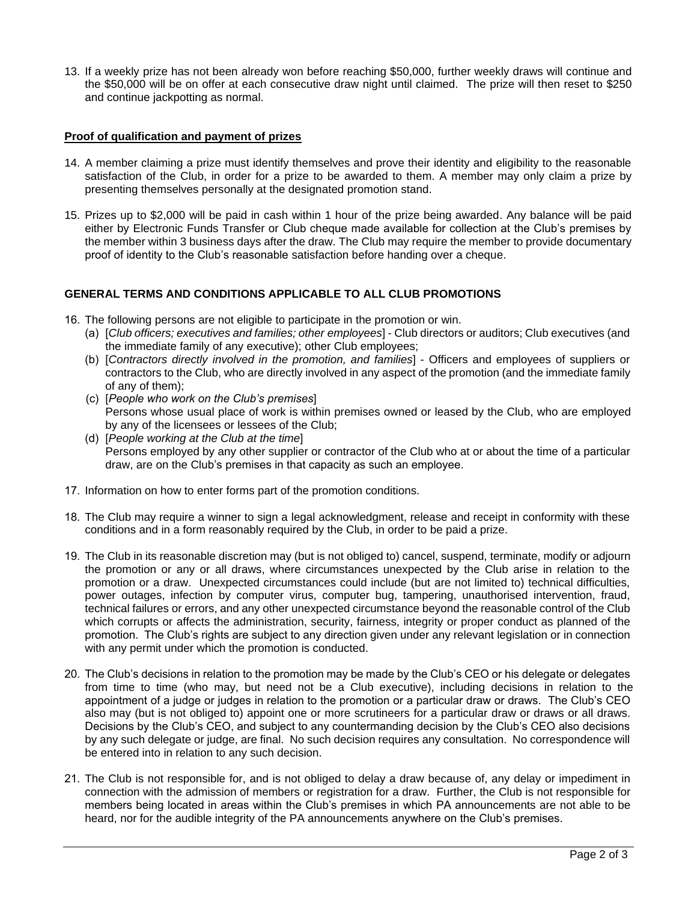13. If a weekly prize has not been already won before reaching \$50,000, further weekly draws will continue and the \$50,000 will be on offer at each consecutive draw night until claimed. The prize will then reset to \$250 and continue jackpotting as normal.

### **Proof of qualification and payment of prizes**

- 14. A member claiming a prize must identify themselves and prove their identity and eligibility to the reasonable satisfaction of the Club, in order for a prize to be awarded to them. A member may only claim a prize by presenting themselves personally at the designated promotion stand.
- 15. Prizes up to \$2,000 will be paid in cash within 1 hour of the prize being awarded. Any balance will be paid either by Electronic Funds Transfer or Club cheque made available for collection at the Club's premises by the member within 3 business days after the draw. The Club may require the member to provide documentary proof of identity to the Club's reasonable satisfaction before handing over a cheque.

# **GENERAL TERMS AND CONDITIONS APPLICABLE TO ALL CLUB PROMOTIONS**

- 16. The following persons are not eligible to participate in the promotion or win.
	- (a) [*Club officers; executives and families; other employees*] Club directors or auditors; Club executives (and the immediate family of any executive); other Club employees;
	- (b) [*Contractors directly involved in the promotion, and families*] Officers and employees of suppliers or contractors to the Club, who are directly involved in any aspect of the promotion (and the immediate family of any of them);
	- (c) [*People who work on the Club's premises*] Persons whose usual place of work is within premises owned or leased by the Club, who are employed by any of the licensees or lessees of the Club;
	- (d) [*People working at the Club at the time*] Persons employed by any other supplier or contractor of the Club who at or about the time of a particular draw, are on the Club's premises in that capacity as such an employee.
- 17. Information on how to enter forms part of the promotion conditions.
- 18. The Club may require a winner to sign a legal acknowledgment, release and receipt in conformity with these conditions and in a form reasonably required by the Club, in order to be paid a prize.
- 19. The Club in its reasonable discretion may (but is not obliged to) cancel, suspend, terminate, modify or adjourn the promotion or any or all draws, where circumstances unexpected by the Club arise in relation to the promotion or a draw. Unexpected circumstances could include (but are not limited to) technical difficulties, power outages, infection by computer virus, computer bug, tampering, unauthorised intervention, fraud, technical failures or errors, and any other unexpected circumstance beyond the reasonable control of the Club which corrupts or affects the administration, security, fairness, integrity or proper conduct as planned of the promotion. The Club's rights are subject to any direction given under any relevant legislation or in connection with any permit under which the promotion is conducted.
- 20. The Club's decisions in relation to the promotion may be made by the Club's CEO or his delegate or delegates from time to time (who may, but need not be a Club executive), including decisions in relation to the appointment of a judge or judges in relation to the promotion or a particular draw or draws. The Club's CEO also may (but is not obliged to) appoint one or more scrutineers for a particular draw or draws or all draws. Decisions by the Club's CEO, and subject to any countermanding decision by the Club's CEO also decisions by any such delegate or judge, are final. No such decision requires any consultation. No correspondence will be entered into in relation to any such decision.
- 21. The Club is not responsible for, and is not obliged to delay a draw because of, any delay or impediment in connection with the admission of members or registration for a draw. Further, the Club is not responsible for members being located in areas within the Club's premises in which PA announcements are not able to be heard, nor for the audible integrity of the PA announcements anywhere on the Club's premises.